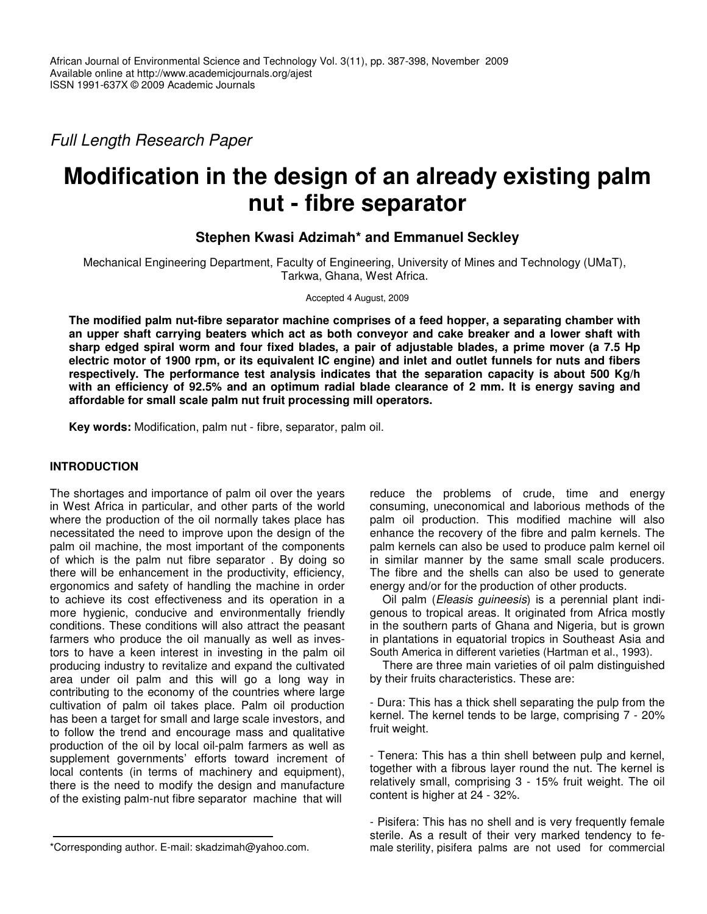*Full Length Research Paper*

# **Modification in the design of an already existing palm nut - fibre separator**

# **Stephen Kwasi Adzimah\* and Emmanuel Seckley**

Mechanical Engineering Department, Faculty of Engineering, University of Mines and Technology (UMaT), Tarkwa, Ghana, West Africa.

#### Accepted 4 August, 2009

**The modified palm nut-fibre separator machine comprises of a feed hopper, a separating chamber with an upper shaft carrying beaters which act as both conveyor and cake breaker and a lower shaft with** sharp edged spiral worm and four fixed blades, a pair of adjustable blades, a prime mover (a 7.5 Hp electric motor of 1900 rpm, or its equivalent IC engine) and inlet and outlet funnels for nuts and fibers **respectively. The performance test analysis indicates that the separation capacity is about 500 Kg/h** with an efficiency of 92.5% and an optimum radial blade clearance of 2 mm. It is energy saving and **affordable for small scale palm nut fruit processing mill operators.**

**Key words:** Modification, palm nut - fibre, separator, palm oil.

# **INTRODUCTION**

The shortages and importance of palm oil over the years in West Africa in particular, and other parts of the world where the production of the oil normally takes place has necessitated the need to improve upon the design of the palm oil machine, the most important of the components of which is the palm nut fibre separator . By doing so there will be enhancement in the productivity, efficiency, ergonomics and safety of handling the machine in order to achieve its cost effectiveness and its operation in a more hygienic, conducive and environmentally friendly conditions. These conditions will also attract the peasant farmers who produce the oil manually as well as investors to have a keen interest in investing in the palm oil producing industry to revitalize and expand the cultivated area under oil palm and this will go a long way in contributing to the economy of the countries where large cultivation of palm oil takes place. Palm oil production has been a target for small and large scale investors, and to follow the trend and encourage mass and qualitative production of the oil by local oil-palm farmers as well as supplement governments' efforts toward increment of local contents (in terms of machinery and equipment), there is the need to modify the design and manufacture of the existing palm-nut fibre separator machine that will

Oil palm (*Eleasis guineesis*) is a perennial plant indigenous to tropical areas. It originated from Africa mostly in the southern parts of Ghana and Nigeria, but is grown in plantations in equatorial tropics in Southeast Asia and South America in different varieties (Hartman et al., 1993).

There are three main varieties of oil palm distinguished by their fruits characteristics. These are:

- Dura: This has a thick shell separating the pulp from the kernel. The kernel tends to be large, comprising 7 - 20% fruit weight.

- Tenera: This has a thin shell between pulp and kernel, together with a fibrous layer round the nut. The kernel is relatively small, comprising 3 - 15% fruit weight. The oil content is higher at 24 - 32%.

reduce the problems of crude, time and energy consuming, uneconomical and laborious methods of the palm oil production. This modified machine will also enhance the recovery of the fibre and palm kernels. The palm kernels can also be used to produce palm kernel oil in similar manner by the same small scale producers. The fibre and the shells can also be used to generate energy and/or for the production of other products.

<sup>-</sup> Pisifera: This has no shell and is very frequently female sterile. As a result of their very marked tendency to female sterility, pisifera palms are not used for commercial

<sup>\*</sup>Corresponding author. E-mail: skadzimah@yahoo.com.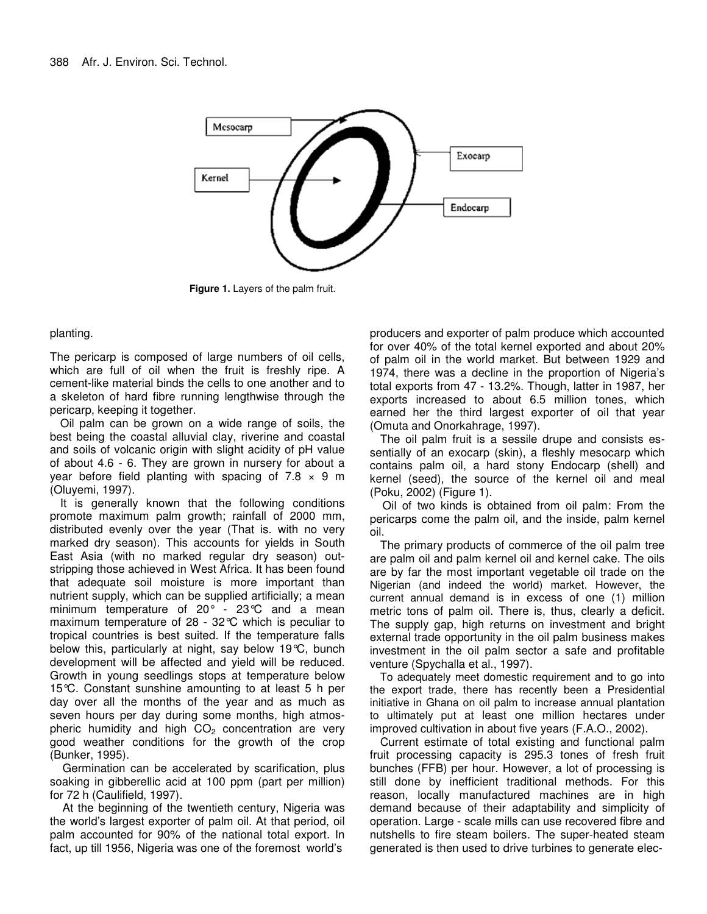

**Figure 1.** Layers of the palm fruit.

# planting.

The pericarp is composed of large numbers of oil cells, which are full of oil when the fruit is freshly ripe. A cement-like material binds the cells to one another and to a skeleton of hard fibre running lengthwise through the pericarp, keeping it together.

Oil palm can be grown on a wide range of soils, the best being the coastal alluvial clay, riverine and coastal and soils of volcanic origin with slight acidity of pH value of about 4.6 - 6. They are grown in nursery for about a year before field planting with spacing of  $7.8 \times 9$  m (Oluyemi, 1997).

It is generally known that the following conditions promote maximum palm growth; rainfall of 2000 mm, distributed evenly over the year (That is. with no very marked dry season). This accounts for yields in South East Asia (with no marked regular dry season) outstripping those achieved in West Africa. It has been found that adequate soil moisture is more important than nutrient supply, which can be supplied artificially; a mean minimum temperature of 20° - 23°C and a mean maximum temperature of 28 - 32°C which is peculiar to tropical countries is best suited. If the temperature falls below this, particularly at night, say below 19°C, bunch development will be affected and yield will be reduced. Growth in young seedlings stops at temperature below 15°C. Constant sunshine amounting to at least 5 h per day over all the months of the year and as much as seven hours per day during some months, high atmospheric humidity and high  $CO<sub>2</sub>$  concentration are very good weather conditions for the growth of the crop (Bunker, 1995).

Germination can be accelerated by scarification, plus soaking in gibberellic acid at 100 ppm (part per million) for 72 h (Caulifield, 1997).

At the beginning of the twentieth century, Nigeria was the world's largest exporter of palm oil. At that period, oil palm accounted for 90% of the national total export. In fact, up till 1956, Nigeria was one of the foremost world's

producers and exporter of palm produce which accounted for over 40% of the total kernel exported and about 20% of palm oil in the world market. But between 1929 and 1974, there was a decline in the proportion of Nigeria's total exports from 47 - 13.2%. Though, latter in 1987, her exports increased to about 6.5 million tones, which earned her the third largest exporter of oil that year (Omuta and Onorkahrage, 1997).

The oil palm fruit is a sessile drupe and consists essentially of an exocarp (skin), a fleshly mesocarp which contains palm oil, a hard stony Endocarp (shell) and kernel (seed), the source of the kernel oil and meal (Poku, 2002) (Figure 1).

Oil of two kinds is obtained from oil palm: From the pericarps come the palm oil, and the inside, palm kernel oil.

The primary products of commerce of the oil palm tree are palm oil and palm kernel oil and kernel cake. The oils are by far the most important vegetable oil trade on the Nigerian (and indeed the world) market. However, the current annual demand is in excess of one (1) million metric tons of palm oil. There is, thus, clearly a deficit. The supply gap, high returns on investment and bright external trade opportunity in the oil palm business makes investment in the oil palm sector a safe and profitable venture (Spychalla et al., 1997).

To adequately meet domestic requirement and to go into the export trade, there has recently been a Presidential initiative in Ghana on oil palm to increase annual plantation to ultimately put at least one million hectares under improved cultivation in about five years (F.A.O., 2002).

Current estimate of total existing and functional palm fruit processing capacity is 295.3 tones of fresh fruit bunches (FFB) per hour. However, a lot of processing is still done by inefficient traditional methods. For this reason, locally manufactured machines are in high demand because of their adaptability and simplicity of operation. Large - scale mills can use recovered fibre and nutshells to fire steam boilers. The super-heated steam generated is then used to drive turbines to generate elec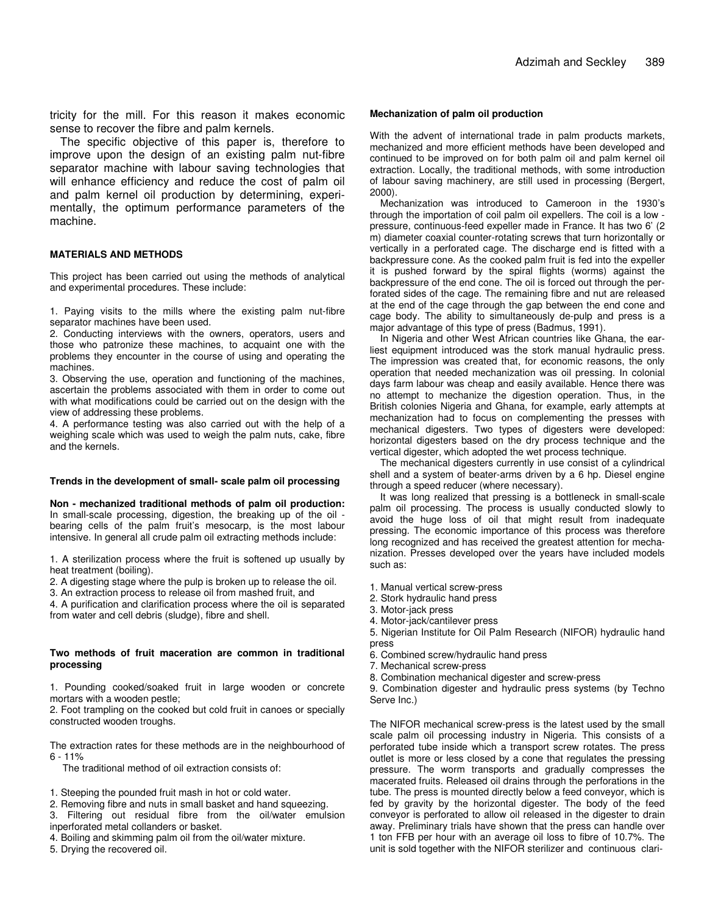tricity for the mill. For this reason it makes economic sense to recover the fibre and palm kernels.

The specific objective of this paper is, therefore to improve upon the design of an existing palm nut-fibre separator machine with labour saving technologies that will enhance efficiency and reduce the cost of palm oil and palm kernel oil production by determining, experimentally, the optimum performance parameters of the machine.

#### **MATERIALS AND METHODS**

This project has been carried out using the methods of analytical and experimental procedures. These include:

1. Paying visits to the mills where the existing palm nut-fibre separator machines have been used.

2. Conducting interviews with the owners, operators, users and those who patronize these machines, to acquaint one with the problems they encounter in the course of using and operating the machines.

3. Observing the use, operation and functioning of the machines, ascertain the problems associated with them in order to come out with what modifications could be carried out on the design with the view of addressing these problems.

4. A performance testing was also carried out with the help of a weighing scale which was used to weigh the palm nuts, cake, fibre and the kernels.

#### **Trends in the development of small- scale palm oil processing**

**Non - mechanized traditional methods of palm oil production:** In small-scale processing, digestion, the breaking up of the oil bearing cells of the palm fruit's mesocarp, is the most labour intensive. In general all crude palm oil extracting methods include:

1. A sterilization process where the fruit is softened up usually by heat treatment (boiling).

2. A digesting stage where the pulp is broken up to release the oil.

3. An extraction process to release oil from mashed fruit, and

4. A purification and clarification process where the oil is separated from water and cell debris (sludge), fibre and shell.

#### **Two methods of fruit maceration are common in traditional processing**

1. Pounding cooked/soaked fruit in large wooden or concrete mortars with a wooden pestle;

2. Foot trampling on the cooked but cold fruit in canoes or specially constructed wooden troughs.

The extraction rates for these methods are in the neighbourhood of  $6 - 11%$ 

The traditional method of oil extraction consists of:

1. Steeping the pounded fruit mash in hot or cold water.

2. Removing fibre and nuts in small basket and hand squeezing.

3. Filtering out residual fibre from the oil/water emulsion inperforated metal collanders or basket.

4. Boiling and skimming palm oil from the oil/water mixture.

5. Drying the recovered oil.

#### **Mechanization of palm oil production**

With the advent of international trade in palm products markets, mechanized and more efficient methods have been developed and continued to be improved on for both palm oil and palm kernel oil extraction. Locally, the traditional methods, with some introduction of labour saving machinery, are still used in processing (Bergert, 2000).

Mechanization was introduced to Cameroon in the 1930's through the importation of coil palm oil expellers. The coil is a low pressure, continuous-feed expeller made in France. It has two 6' (2 m) diameter coaxial counter-rotating screws that turn horizontally or vertically in a perforated cage. The discharge end is fitted with a backpressure cone. As the cooked palm fruit is fed into the expeller it is pushed forward by the spiral flights (worms) against the backpressure of the end cone. The oil is forced out through the perforated sides of the cage. The remaining fibre and nut are released at the end of the cage through the gap between the end cone and cage body. The ability to simultaneously de-pulp and press is a major advantage of this type of press (Badmus, 1991).

In Nigeria and other West African countries like Ghana, the earliest equipment introduced was the stork manual hydraulic press. The impression was created that, for economic reasons, the only operation that needed mechanization was oil pressing. In colonial days farm labour was cheap and easily available. Hence there was no attempt to mechanize the digestion operation. Thus, in the British colonies Nigeria and Ghana, for example, early attempts at mechanization had to focus on complementing the presses with mechanical digesters. Two types of digesters were developed: horizontal digesters based on the dry process technique and the vertical digester, which adopted the wet process technique.

The mechanical digesters currently in use consist of a cylindrical shell and a system of beater-arms driven by a 6 hp. Diesel engine through a speed reducer (where necessary).

It was long realized that pressing is a bottleneck in small-scale palm oil processing. The process is usually conducted slowly to avoid the huge loss of oil that might result from inadequate pressing. The economic importance of this process was therefore long recognized and has received the greatest attention for mechanization. Presses developed over the years have included models such as:

- 1. Manual vertical screw-press
- 2. Stork hydraulic hand press
- 3. Motor-jack press
- 4. Motor-jack/cantilever press
- 5. Nigerian Institute for Oil Palm Research (NIFOR) hydraulic hand press
- 6. Combined screw/hydraulic hand press
- 7. Mechanical screw-press
- 8. Combination mechanical digester and screw-press

9. Combination digester and hydraulic press systems (by Techno Serve Inc.)

The NIFOR mechanical screw-press is the latest used by the small scale palm oil processing industry in Nigeria. This consists of a perforated tube inside which a transport screw rotates. The press outlet is more or less closed by a cone that regulates the pressing pressure. The worm transports and gradually compresses the macerated fruits. Released oil drains through the perforations in the tube. The press is mounted directly below a feed conveyor, which is fed by gravity by the horizontal digester. The body of the feed conveyor is perforated to allow oil released in the digester to drain away. Preliminary trials have shown that the press can handle over 1 ton FFB per hour with an average oil loss to fibre of 10.7%. The unit is sold together with the NIFOR sterilizer and continuous clari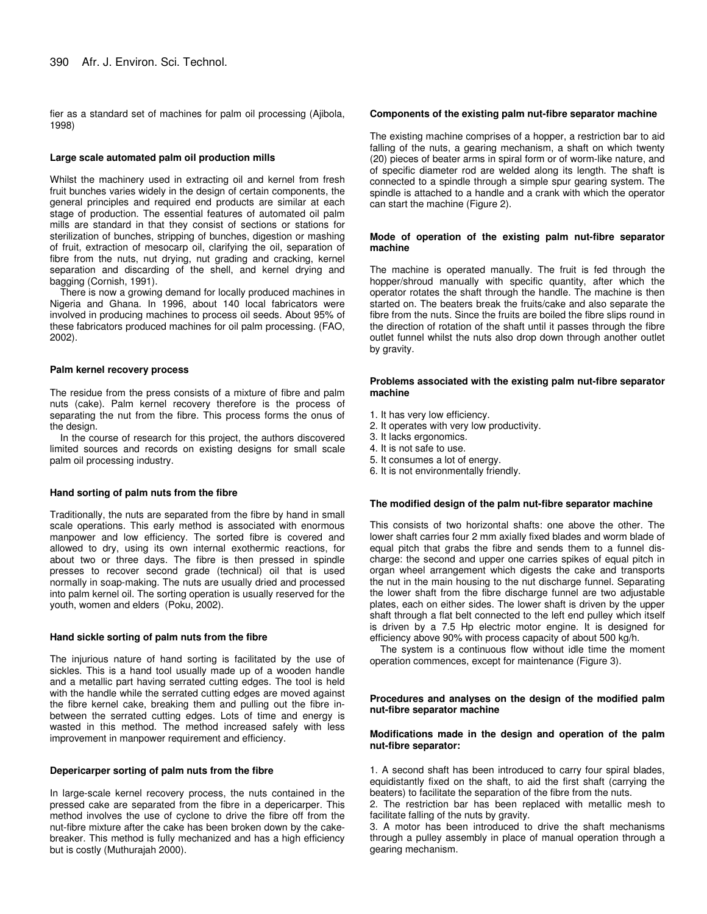fier as a standard set of machines for palm oil processing (Ajibola, 1998)

#### **Large scale automated palm oil production mills**

Whilst the machinery used in extracting oil and kernel from fresh fruit bunches varies widely in the design of certain components, the general principles and required end products are similar at each stage of production. The essential features of automated oil palm mills are standard in that they consist of sections or stations for sterilization of bunches, stripping of bunches, digestion or mashing of fruit, extraction of mesocarp oil, clarifying the oil, separation of fibre from the nuts, nut drying, nut grading and cracking, kernel separation and discarding of the shell, and kernel drying and bagging (Cornish, 1991).

There is now a growing demand for locally produced machines in Nigeria and Ghana. In 1996, about 140 local fabricators were involved in producing machines to process oil seeds. About 95% of these fabricators produced machines for oil palm processing. (FAO, 2002).

#### **Palm kernel recovery process**

The residue from the press consists of a mixture of fibre and palm nuts (cake). Palm kernel recovery therefore is the process of separating the nut from the fibre. This process forms the onus of the design.

In the course of research for this project, the authors discovered limited sources and records on existing designs for small scale palm oil processing industry.

#### **Hand sorting of palm nuts from the fibre**

Traditionally, the nuts are separated from the fibre by hand in small scale operations. This early method is associated with enormous manpower and low efficiency. The sorted fibre is covered and allowed to dry, using its own internal exothermic reactions, for about two or three days. The fibre is then pressed in spindle presses to recover second grade (technical) oil that is used normally in soap-making. The nuts are usually dried and processed into palm kernel oil. The sorting operation is usually reserved for the youth, women and elders (Poku, 2002).

#### **Hand sickle sorting of palm nuts from the fibre**

The injurious nature of hand sorting is facilitated by the use of sickles. This is a hand tool usually made up of a wooden handle and a metallic part having serrated cutting edges. The tool is held with the handle while the serrated cutting edges are moved against the fibre kernel cake, breaking them and pulling out the fibre inbetween the serrated cutting edges. Lots of time and energy is wasted in this method. The method increased safely with less improvement in manpower requirement and efficiency.

#### **Depericarper sorting of palm nuts from the fibre**

In large-scale kernel recovery process, the nuts contained in the pressed cake are separated from the fibre in a depericarper. This method involves the use of cyclone to drive the fibre off from the nut-fibre mixture after the cake has been broken down by the cakebreaker. This method is fully mechanized and has a high efficiency but is costly (Muthurajah 2000).

#### **Components of the existing palm nut-fibre separator machine**

The existing machine comprises of a hopper, a restriction bar to aid falling of the nuts, a gearing mechanism, a shaft on which twenty (20) pieces of beater arms in spiral form or of worm-like nature, and of specific diameter rod are welded along its length. The shaft is connected to a spindle through a simple spur gearing system. The spindle is attached to a handle and a crank with which the operator can start the machine (Figure 2).

#### **Mode of operation of the existing palm nut-fibre separator machine**

The machine is operated manually. The fruit is fed through the hopper/shroud manually with specific quantity, after which the operator rotates the shaft through the handle. The machine is then started on. The beaters break the fruits/cake and also separate the fibre from the nuts. Since the fruits are boiled the fibre slips round in the direction of rotation of the shaft until it passes through the fibre outlet funnel whilst the nuts also drop down through another outlet by gravity.

#### **Problems associated with the existing palm nut-fibre separator machine**

- 1. It has very low efficiency.
- 2. It operates with very low productivity.
- 3. It lacks ergonomics.
- 4. It is not safe to use.
- 5. It consumes a lot of energy.
- 6. It is not environmentally friendly.

#### **The modified design of the palm nut-fibre separator machine**

This consists of two horizontal shafts: one above the other. The lower shaft carries four 2 mm axially fixed blades and worm blade of equal pitch that grabs the fibre and sends them to a funnel discharge: the second and upper one carries spikes of equal pitch in organ wheel arrangement which digests the cake and transports the nut in the main housing to the nut discharge funnel. Separating the lower shaft from the fibre discharge funnel are two adjustable plates, each on either sides. The lower shaft is driven by the upper shaft through a flat belt connected to the left end pulley which itself is driven by a 7.5 Hp electric motor engine. It is designed for efficiency above 90% with process capacity of about 500 kg/h.

The system is a continuous flow without idle time the moment operation commences, except for maintenance (Figure 3).

#### **Procedures and analyses on the design of the modified palm nut-fibre separator machine**

#### **Modifications made in the design and operation of the palm nut-fibre separator:**

1. A second shaft has been introduced to carry four spiral blades, equidistantly fixed on the shaft, to aid the first shaft (carrying the beaters) to facilitate the separation of the fibre from the nuts.

2. The restriction bar has been replaced with metallic mesh to facilitate falling of the nuts by gravity.

3. A motor has been introduced to drive the shaft mechanisms through a pulley assembly in place of manual operation through a gearing mechanism.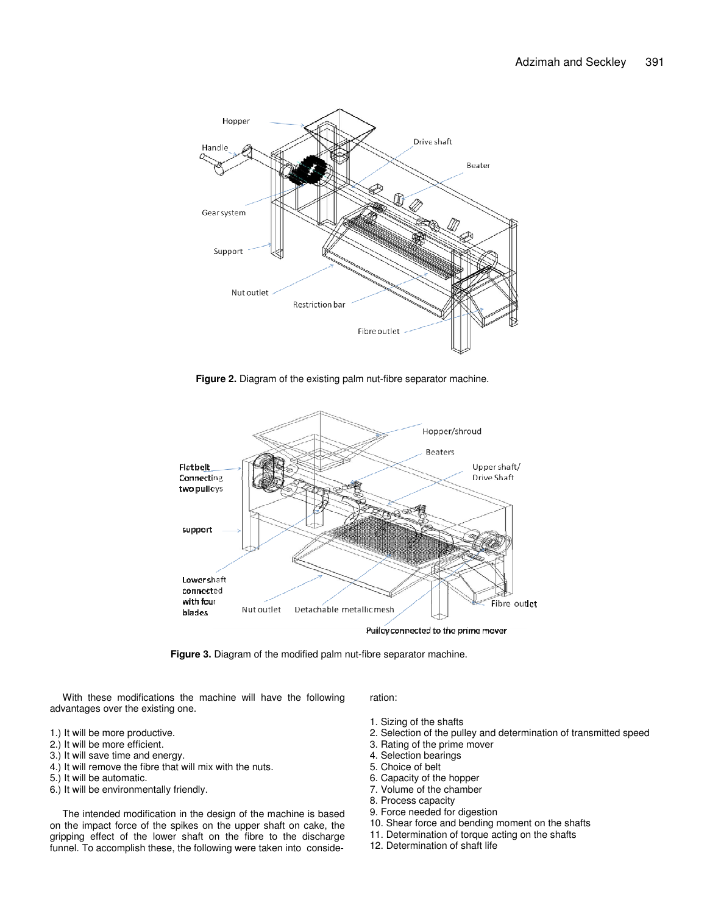

**Figure 2.** Diagram of the existing palm nut-fibre separator machine.



**Figure 3.** Diagram of the modified palm nut-fibre separator machine.

With these modifications the machine will have the following advantages over the existing one.

#### 1.) It will be more productive.

- 2.) It will be more efficient.
- 3.) It will save time and energy.
- 4.) It will remove the fibre that will mix with the nuts.
- 5.) It will be automatic.
- 6.) It will be environmentally friendly.

The intended modification in the design of the machine is based on the impact force of the spikes on the upper shaft on cake, the gripping effect of the lower shaft on the fibre to the discharge funnel. To accomplish these, the following were taken into consideration:

- 1. Sizing of the shafts
- 2. Selection of the pulley and determination of transmitted speed
- 3. Rating of the prime mover
- 4. Selection bearings
- 5. Choice of belt
- 6. Capacity of the hopper
- 7. Volume of the chamber
- 8. Process capacity
- 9. Force needed for digestion
- 10. Shear force and bending moment on the shafts
- 11. Determination of torque acting on the shafts
- 12. Determination of shaft life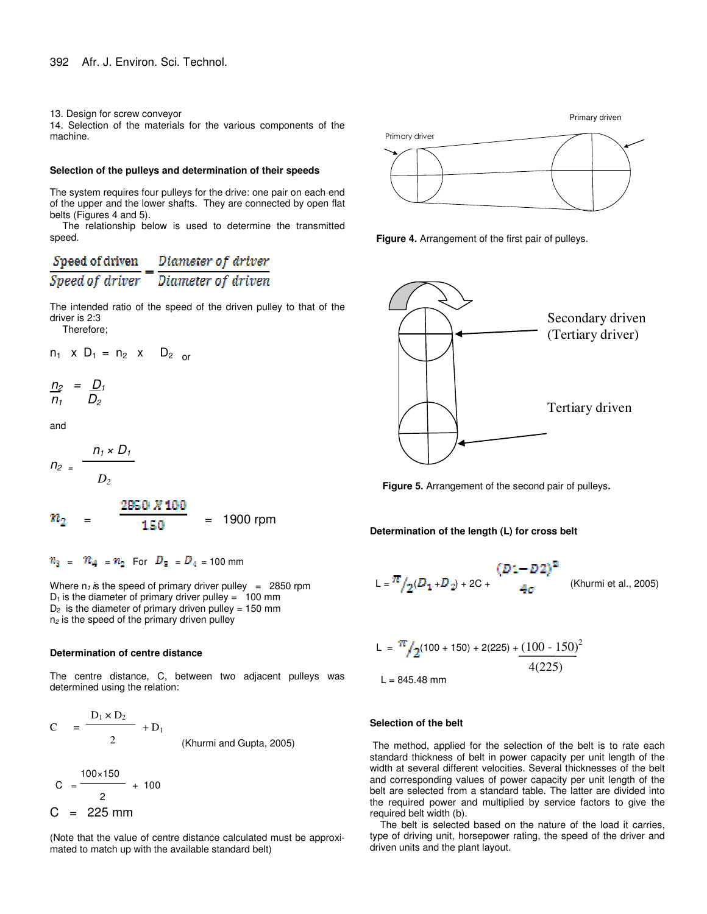13. Design for screw conveyor

14. Selection of the materials for the various components of the machine.

#### **Selection of the pulleys and determination of their speeds**

The system requires four pulleys for the drive: one pair on each end of the upper and the lower shafts. They are connected by open flat belts (Figures 4 and 5).

The relationship below is used to determine the transmitted speed.

# $\frac{Speed~of~driven}{Speed~of~driver} = \frac{Diameter~of~driver}{Diameter~of~driven}$

The intended ratio of the speed of the driven pulley to that of the driver is 2:3

Therefore;

$$
n_1 \times D_1 = n_2 \times D_2
$$
 or

$$
\frac{n_2}{n_1} = \frac{D_1}{D_2}
$$

and

$$
n_2 = \frac{n_1 \times D_1}{D_2}
$$

$$
n_2 = \frac{2850 \times 100}{150} = 1900 \text{ rpm}
$$

 $n_3 = n_4 = n_2$  For  $D_3 = D_4 = 100$  mm

Where  $n_1$  *is* the speed of primary driver pulley = 2850 rpm  $D_1$  is the diameter of primary driver pulley = 100 mm  $D_2$  is the diameter of primary driven pulley = 150 mm n*<sup>2</sup>* is the speed of the primary driven pulley

#### **Determination of centre distance**

The centre distance, C, between two adjacent pulleys was determined using the relation:

$$
C = \frac{D_1 \times D_2}{2} + D_1
$$
 (Khurm i and Gupta, 2005)

$$
C = \frac{100 \times 150}{2} + 100
$$
  
C = 225 mm

(Note that the value of centre distance calculated must be approximated to match up with the available standard belt)



**Figure 4.** Arrangement of the first pair of pulleys.



**Figure 5.** Arrangement of the second pair of pulleys**.**

**Determination of the length (L) for cross belt**

$$
L = \frac{\pi}{2}(D_1 + D_2) + 2C + \qquad (B1 - D2)^2
$$
 (Khurm i et al., 2005)

$$
L = \frac{\pi}{2}(100 + 150) + 2(225) + \frac{(100 - 150)^2}{4(225)}
$$

 $L = 845.48$  mm

#### **Selection of the belt**

The method, applied for the selection of the belt is to rate each standard thickness of belt in power capacity per unit length of the width at several different velocities. Several thicknesses of the belt and corresponding values of power capacity per unit length of the belt are selected from a standard table. The latter are divided into the required power and multiplied by service factors to give the required belt width (b).

The belt is selected based on the nature of the load it carries, type of driving unit, horsepower rating, the speed of the driver and driven units and the plant layout.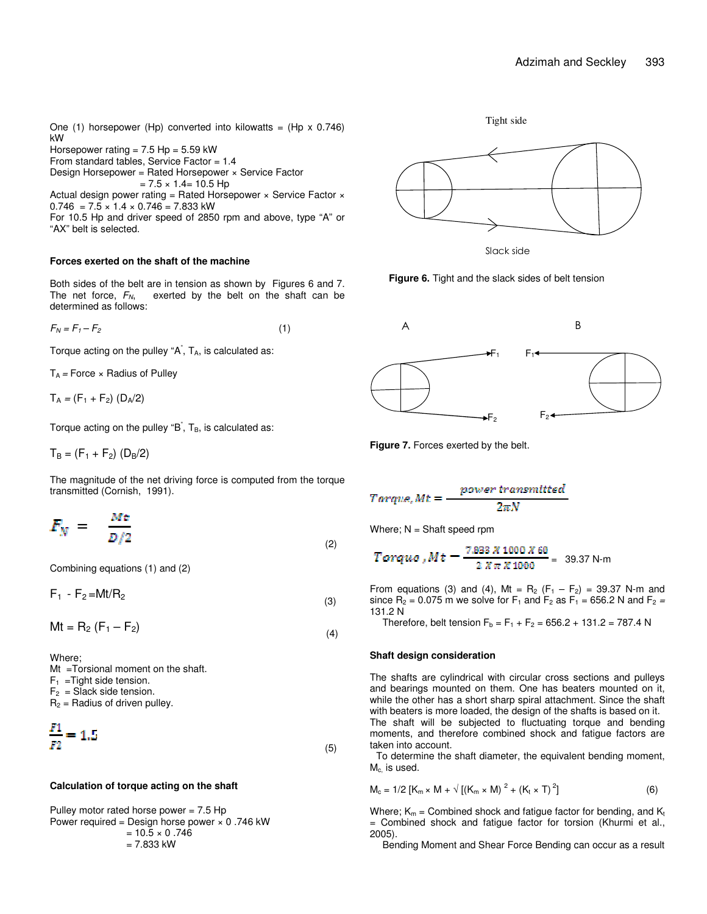One (1) horsepower (Hp) converted into kilowatts = (Hp  $\times$  0.746) kW Horsepower rating =  $7.5$  Hp =  $5.59$  kW

From standard tables, Service Factor = 1.4

Design Horsepower = Rated Horsepower × Service Factor

 $= 7.5 \times 1.4 = 10.5$  Hp Actual design power rating = Rated Horsepower  $\times$  Service Factor  $\times$  $0.746 = 7.5 \times 1.4 \times 0.746 = 7.833$  kW

For 10.5 Hp and driver speed of 2850 rpm and above, type "A" or "AX" belt is selected.

#### **Forces exerted on the shaft of the machine**

Both sides of the belt are in tension as shown by Figures 6 and 7. The net force,  $F_N$ , exerted by the belt on the shaft can be determined as follows:

$$
F_N = F_1 - F_2 \tag{1}
$$

Torque acting on the pulley "A<sup>"</sup>, T<sub>A</sub>, is calculated as:

T<sup>A</sup> *=* Force × Radius of Pulley

 $T_A = (F_1 + F_2) (D_A/2)$ 

Torque acting on the pulley "B<sup>"</sup>,  $T_B$ , is calculated as:

 $T_B = (F_1 + F_2)$  (D<sub>B</sub>/2)

The magnitude of the net driving force is computed from the torque transmitted (Cornish, 1991).

$$
F_N = \frac{Mt}{D/2} \tag{2}
$$

Combining equations (1) and (2)

 $F_1 - F_2 = Mt/R_2$ (3)

 $Mt = R_2 (F_1 - F_2)$ (4)

Where; Mt =Torsional moment on the shaft.

 $F_1$  = Tight side tension.

 $F_2$  = Slack side tension.

 $R_2$  = Radius of driven pulley.

$$
\frac{F1}{F2} = 1.5\tag{5}
$$

#### **Calculation of torque acting on the shaft**

Pulley motor rated horse power  $= 7.5$  Hp Power required = Design horse power  $\times$  0.746 kW  $= 10.5 \times 0.746$  $= 7.833$  kW



Slack side

Tight side

**Figure 6.** Tight and the slack sides of belt tension



**Figure 7.** Forces exerted by the belt.

$$
Torque, Mt = \frac{power\ transmitted}{2\pi N}
$$

Where;  $N = Sh$ aft speed rpm

$$
Torque, Mt = \frac{7.833 \times 1000 \times 60}{2 \times \pi \times 1000} = 39.37 \text{ N-m}
$$

From equations (3) and (4), Mt =  $R_2$  ( $F_1 - F_2$ ) = 39.37 N-m and since  $R_2 = 0.075$  m we solve for  $F_1$  and  $F_2$  as  $F_1 = 656.2$  N and  $F_2 =$ 131.2 N

Therefore, belt tension  $F_b = F_1 + F_2 = 656.2 + 131.2 = 787.4 N$ 

#### **Shaft design consideration**

The shafts are cylindrical with circular cross sections and pulleys and bearings mounted on them. One has beaters mounted on it, while the other has a short sharp spiral attachment. Since the shaft with beaters is more loaded, the design of the shafts is based on it. The shaft will be subjected to fluctuating torque and bending moments, and therefore combined shock and fatigue factors are taken into account.

To determine the shaft diameter, the equivalent bending moment, M<sub>c</sub> is used.

$$
M_c = 1/2 [K_m \times M + \sqrt{[(K_m \times M)]^2 + (K_t \times T)^2}]
$$
 (6)

Where;  $K_m$  = Combined shock and fatigue factor for bending, and  $K_t$ = Combined shock and fatigue factor for torsion (Khurmi et al., 2005).

Bending Moment and Shear Force Bending can occur as a result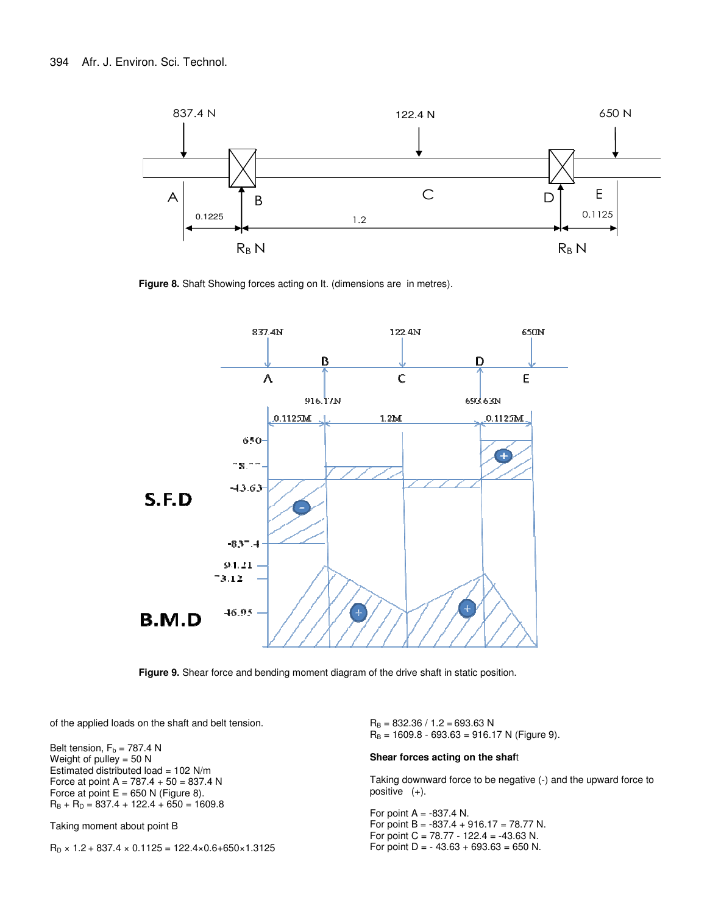

**Figure 8.** Shaft Showing forces acting on It. (dimensions are in metres).



**Figure 9.** Shear force and bending moment diagram of the drive shaft in static position.

of the applied loads on the shaft and belt tension.

Belt tension,  $F_b = 787.4 N$ Weight of pulley  $= 50$  N Estimated distributed load =  $102$  N/m Force at point  $A = 787.4 + 50 = 837.4 N$ Force at point  $E = 650$  N (Figure 8).  $R_B + R_D = 837.4 + 122.4 + 650 = 1609.8$ 

Taking moment about point B

 $R_D \times 1.2 + 837.4 \times 0.1125 = 122.4 \times 0.6 + 650 \times 1.3125$ 

 $R_B = 832.36 / 1.2 = 693.63 N$  $R_B = 1609.8 - 693.63 = 916.17 N$  (Figure 9).

#### **Shear forces acting on the shaf**t

Taking downward force to be negative (-) and the upward force to positive (+).

For point  $A = -837.4$  N. For point B =  $-837.4 + 916.17 = 78.77$  N. For point C =  $78.77 - 122.4 = -43.63$  N. For point  $D = -43.63 + 693.63 = 650$  N.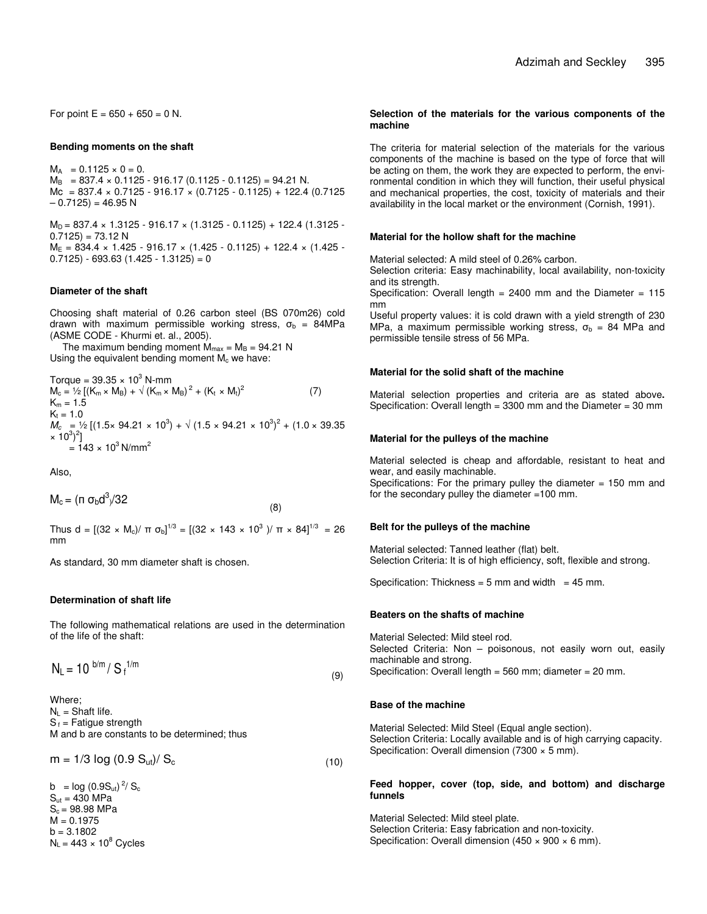For point  $E = 650 + 650 = 0$  N.

#### **Bending moments on the shaft**

 $M_A = 0.1125 \times 0 = 0.$  $M_B$  = 837.4 × 0.1125 - 916.17 (0.1125 - 0.1125) = 94.21 N. Mc =  $837.4 \times 0.7125 - 916.17 \times (0.7125 - 0.1125) + 122.4 (0.7125)$  $-0.7125$ ) = 46.95 N

 $M_D = 837.4 \times 1.3125 - 916.17 \times (1.3125 - 0.1125) + 122.4 (1.3125 0.7125$ ) = 73.12 N  $M_E = 834.4 \times 1.425 - 916.17 \times (1.425 - 0.1125) + 122.4 \times (1.425 - 1.125)$  $(0.7125) - 693.63(1.425 - 1.3125) = 0$ 

#### **Diameter of the shaft**

Choosing shaft material of 0.26 carbon steel (BS 070m26) cold drawn with maximum permissible working stress,  $\sigma_{\rm b}$  = 84MPa (ASME CODE - Khurmi et. al., 2005).

The maximum bending moment  $M_{max} = M_B = 94.21$  N Using the equivalent bending moment  $M_c$  we have:

Torque = 39.35  $\times$  10<sup>3</sup> N-mm  $M_c = \frac{1}{2} [(K_m \times M_B) + \sqrt{(K_m \times M_B)^2 + (K_t \times M_t)^2}]$ (7)  $K_m = 1.5$  $K_t = 1.0$  $M_c$  = 1/2 [(1.5× 94.21 × 10<sup>3</sup>) +  $\sqrt{(1.5 \times 94.21 \times 10^3)^2 + (1.0 \times 39.35)^2}$  $\times 10^3)^2$ ]  $= 143 \times 10^3$  N/mm<sup>2</sup>

Also,

$$
M_c = (\pi \sigma_b d^3/32
$$

Thus d = [(32 × M<sub>c</sub>)/ π σ<sub>b</sub>]<sup>1/3</sup> = [(32 × 143 × 10<sup>3</sup> )/ π × 84]<sup>1/3</sup> = 26 mm

(8)

As standard, 30 mm diameter shaft is chosen.

#### **Determination of shaft life**

The following mathematical relations are used in the determination of the life of the shaft:

$$
N_L = 10^{b/m} / S_f^{1/m}
$$

Where;  $N_L$  = Shaft life.  $S_f$  = Fatigue strength M and b are constants to be determined; thus

 $m = 1/3 \log (0.9 S_{ut})/ S_c$  (10)

b =  $log(0.9S_{ut})^2/S_c$  $S<sub>ut</sub> = 430 MPa$  $S_c = 98.98$  MPa  $M = 0.1975$  $b = 3.1802$  $N_L$  = 443  $\times$  10 $^8$  Cycles

#### **Selection of the materials for the various components of the machine**

The criteria for material selection of the materials for the various components of the machine is based on the type of force that will be acting on them, the work they are expected to perform, the environmental condition in which they will function, their useful physical and mechanical properties, the cost, toxicity of materials and their availability in the local market or the environment (Cornish, 1991).

#### **Material for the hollow shaft for the machine**

Material selected: A mild steel of 0.26% carbon.

Selection criteria: Easy machinability, local availability, non-toxicity and its strength.

Specification: Overall length =  $2400$  mm and the Diameter =  $115$ mm

Useful property values: it is cold drawn with a yield strength of 230 MPa, a maximum permissible working stress,  $\sigma_{b}$  = 84 MPa and permissible tensile stress of 56 MPa.

#### **Material for the solid shaft of the machine**

Material selection properties and criteria are as stated above**.** Specification: Overall length = 3300 mm and the Diameter = 30 mm

#### **Material for the pulleys of the machine**

Material selected is cheap and affordable, resistant to heat and wear, and easily machinable.

Specifications: For the primary pulley the diameter  $= 150$  mm and for the secondary pulley the diameter =100 mm.

#### **Belt for the pulleys of the machine**

Material selected: Tanned leather (flat) belt. Selection Criteria: It is of high efficiency, soft, flexible and strong.

Specification: Thickness =  $5 \text{ mm}$  and width =  $45 \text{ mm}$ .

#### **Beaters on the shafts of machine**

Material Selected: Mild steel rod. Selected Criteria: Non – poisonous, not easily worn out, easily machinable and strong. Specification: Overall length = 560 mm; diameter = 20 mm.

#### **Base of the machine**

Material Selected: Mild Steel (Equal angle section). Selection Criteria: Locally available and is of high carrying capacity. Specification: Overall dimension (7300 × 5 mm).

#### **Feed hopper, cover (top, side, and bottom) and discharge funnels**

Material Selected: Mild steel plate. Selection Criteria: Easy fabrication and non-toxicity. Specification: Overall dimension (450  $\times$  900  $\times$  6 mm).

(9)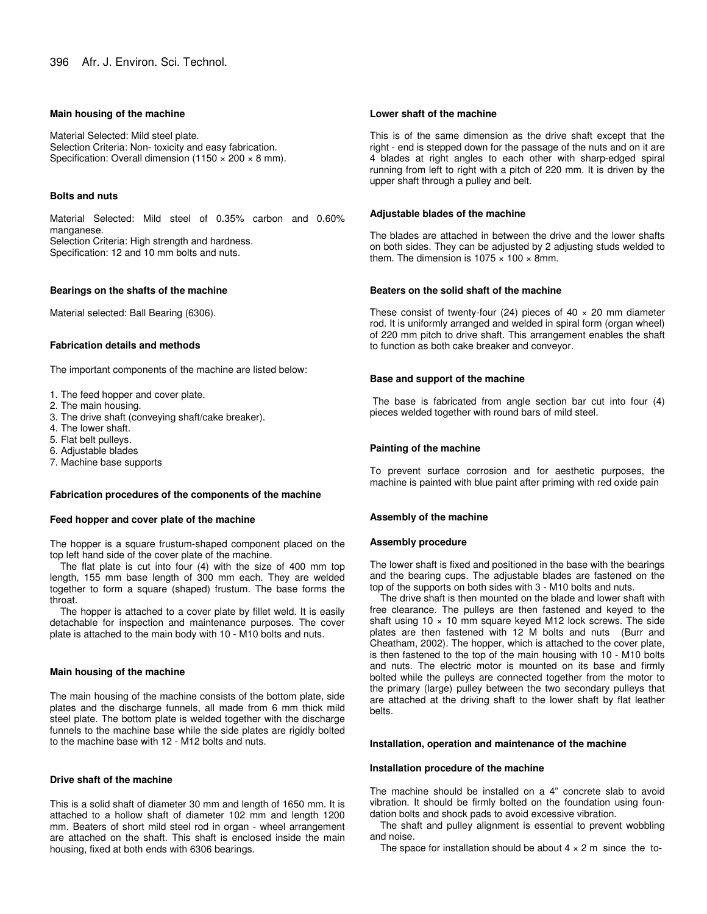#### **Main housing of the machine**

Material Selected: Mild steel plate. Selection Criteria: Non- toxicity and easy fabrication. Specification: Overall dimension (1150  $\times$  200  $\times$  8 mm).

#### **Bolts and nuts**

Material Selected: Mild steel of 0.35% carbon and 0.60% manganese. Selection Criteria: High strength and hardness. Specification: 12 and 10 mm bolts and nuts.

#### **Bearings on the shafts of the machine**

Material selected: Ball Bearing (6306).

#### **Fabrication details and methods**

The important components of the machine are listed below:

- 1. The feed hopper and cover plate.
- 2. The main housing.
- 3. The drive shaft (conveying shaft/cake breaker).
- 4. The lower shaft.
- 5. Flat belt pulleys.
- 6. Adjustable blades
- 7. Machine base supports

#### **Fabrication procedures of the components of the machine**

#### **Feed hopper and cover plate of the machine**

The hopper is a square frustum-shaped component placed on the top left hand side of the cover plate of the machine.

The flat plate is cut into four (4) with the size of 400 mm top length, 155 mm base length of 300 mm each. They are welded together to form a square (shaped) frustum. The base forms the throat.

The hopper is attached to a cover plate by fillet weld. It is easily detachable for inspection and maintenance purposes. The cover plate is attached to the main body with 10 - M10 bolts and nuts.

#### **Main housing of the machine**

The main housing of the machine consists of the bottom plate, side plates and the discharge funnels, all made from 6 mm thick mild steel plate. The bottom plate is welded together with the discharge funnels to the machine base while the side plates are rigidly bolted to the machine base with 12 - M12 bolts and nuts.

#### **Drive shaft of the machine**

This is a solid shaft of diameter 30 mm and length of 1650 mm. It is attached to a hollow shaft of diameter 102 mm and length 1200 mm. Beaters of short mild steel rod in organ - wheel arrangement are attached on the shaft. This shaft is enclosed inside the main housing, fixed at both ends with 6306 bearings.

#### **Lower shaft of the machine**

This is of the same dimension as the drive shaft except that the right - end is stepped down for the passage of the nuts and on it are 4 blades at right angles to each other with sharp-edged spiral running from left to right with a pitch of 220 mm. It is driven by the upper shaft through a pulley and belt.

#### **Adjustable blades of the machine**

The blades are attached in between the drive and the lower shafts on both sides. They can be adjusted by 2 adjusting studs welded to them. The dimension is  $1075 \times 100 \times 8$ mm.

#### **Beaters on the solid shaft of the machine**

These consist of twenty-four (24) pieces of  $40 \times 20$  mm diameter rod. It is uniformly arranged and welded in spiral form (organ wheel) of 220 mm pitch to drive shaft. This arrangement enables the shaft to function as both cake breaker and conveyor.

# **Base and support of the machine**

The base is fabricated from angle section bar cut into four (4) pieces welded together with round bars of mild steel.

#### **Painting of the machine**

To prevent surface corrosion and for aesthetic purposes, the machine is painted with blue paint after priming with red oxide pain

#### **Assembly of the machine**

#### **Assembly procedure**

The lower shaft is fixed and positioned in the base with the bearings and the bearing cups. The adjustable blades are fastened on the top of the supports on both sides with 3 - M10 bolts and nuts.

The drive shaft is then mounted on the blade and lower shaft with free clearance. The pulleys are then fastened and keyed to the shaft using  $10 \times 10$  mm square keyed M12 lock screws. The side plates are then fastened with 12 M bolts and nuts (Burr and Cheatham, 2002). The hopper, which is attached to the cover plate, is then fastened to the top of the main housing with 10 - M10 bolts and nuts. The electric motor is mounted on its base and firmly bolted while the pulleys are connected together from the motor to the primary (large) pulley between the two secondary pulleys that are attached at the driving shaft to the lower shaft by flat leather belts.

# **Installation, operation and maintenance of the machine**

#### **Installation procedure of the machine**

The machine should be installed on a 4" concrete slab to avoid vibration. It should be firmly bolted on the foundation using foundation bolts and shock pads to avoid excessive vibration.

The shaft and pulley alignment is essential to prevent wobbling and noise.

The space for installation should be about  $4 \times 2$  m since the to-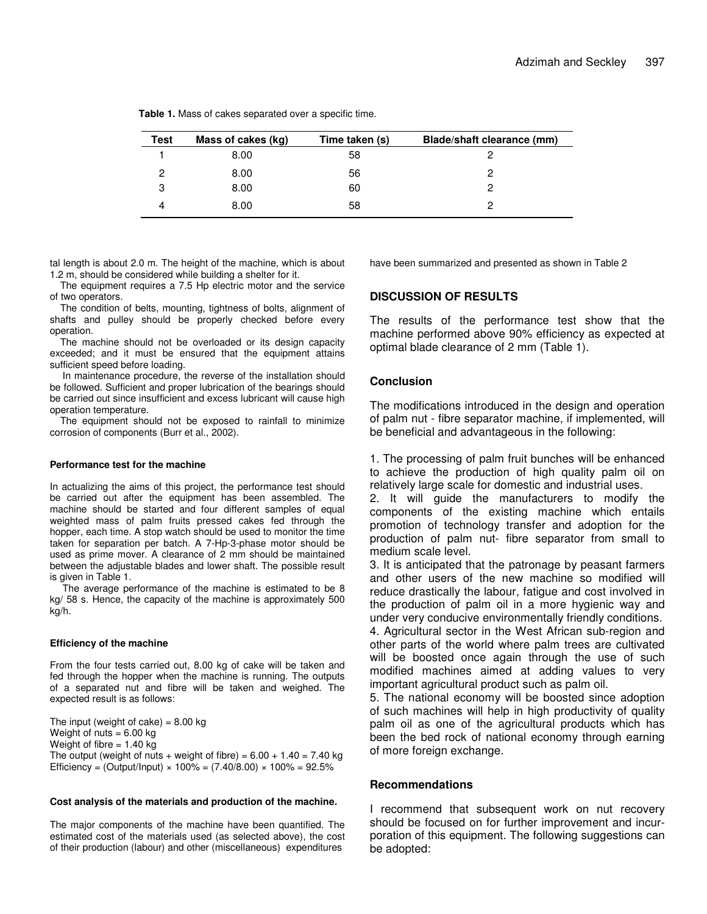| Test | Mass of cakes (kg) | Time taken (s) | Blade/shaft clearance (mm) |
|------|--------------------|----------------|----------------------------|
|      | 8.00               | 58             |                            |
|      | 8.00               | 56             |                            |
| 3    | 8.00               | 60             |                            |
|      | 8.00               | 58             |                            |

**Table 1.** Mass of cakes separated over a specific time.

tal length is about 2.0 m. The height of the machine, which is about 1.2 m, should be considered while building a shelter for it.

The equipment requires a 7.5 Hp electric motor and the service of two operators.

The condition of belts, mounting, tightness of bolts, alignment of shafts and pulley should be properly checked before every operation.

The machine should not be overloaded or its design capacity exceeded; and it must be ensured that the equipment attains sufficient speed before loading.

In maintenance procedure, the reverse of the installation should be followed. Sufficient and proper lubrication of the bearings should be carried out since insufficient and excess lubricant will cause high operation temperature.

The equipment should not be exposed to rainfall to minimize corrosion of components (Burr et al., 2002).

#### **Performance test for the machine**

In actualizing the aims of this project, the performance test should be carried out after the equipment has been assembled. The machine should be started and four different samples of equal weighted mass of palm fruits pressed cakes fed through the hopper, each time. A stop watch should be used to monitor the time taken for separation per batch. A 7-Hp-3-phase motor should be used as prime mover. A clearance of 2 mm should be maintained between the adjustable blades and lower shaft. The possible result is given in Table 1.

The average performance of the machine is estimated to be 8 kg/ 58 s. Hence, the capacity of the machine is approximately 500 kg/h.

#### **Efficiency of the machine**

From the four tests carried out, 8.00 kg of cake will be taken and fed through the hopper when the machine is running. The outputs of a separated nut and fibre will be taken and weighed. The expected result is as follows:

The input (weight of cake) =  $8.00 \text{ kg}$ Weight of nuts  $= 6.00$  kg Weight of fibre  $= 1.40$  kg The output (weight of nuts + weight of fibre) =  $6.00 + 1.40 = 7.40$  kg Efficiency = (Output/Input)  $\times$  100% = (7.40/8.00)  $\times$  100% = 92.5%

#### **Cost analysis of the materials and production of the machine.**

The major components of the machine have been quantified. The estimated cost of the materials used (as selected above), the cost of their production (labour) and other (miscellaneous) expenditures

have been summarized and presented as shown in Table 2

# **DISCUSSION OF RESULTS**

The results of the performance test show that the machine performed above 90% efficiency as expected at optimal blade clearance of 2 mm (Table 1).

# **Conclusion**

The modifications introduced in the design and operation of palm nut - fibre separator machine, if implemented, will be beneficial and advantageous in the following:

1. The processing of palm fruit bunches will be enhanced to achieve the production of high quality palm oil on relatively large scale for domestic and industrial uses.

2. It will guide the manufacturers to modify the components of the existing machine which entails promotion of technology transfer and adoption for the production of palm nut- fibre separator from small to medium scale level.

3. It is anticipated that the patronage by peasant farmers and other users of the new machine so modified will reduce drastically the labour, fatigue and cost involved in the production of palm oil in a more hygienic way and under very conducive environmentally friendly conditions.

4. Agricultural sector in the West African sub-region and other parts of the world where palm trees are cultivated will be boosted once again through the use of such modified machines aimed at adding values to very important agricultural product such as palm oil.

5. The national economy will be boosted since adoption of such machines will help in high productivity of quality palm oil as one of the agricultural products which has been the bed rock of national economy through earning of more foreign exchange.

# **Recommendations**

I recommend that subsequent work on nut recovery should be focused on for further improvement and incurporation of this equipment. The following suggestions can be adopted: